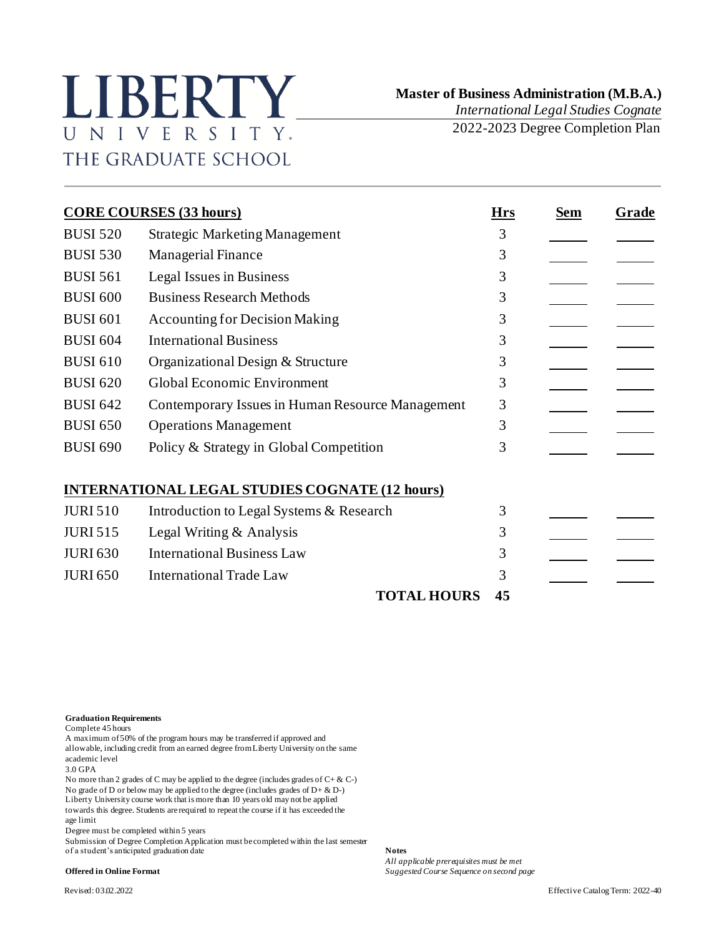## LIBERTY UNIVERSITY. THE GRADUATE SCHOOL

 **Master of Business Administration (M.B.A.)**

*International Legal Studies Cognate* 2022-2023 Degree Completion Plan

| <b>CORE COURSES (33 hours)</b> |                                                       |    | Sem | Grade |
|--------------------------------|-------------------------------------------------------|----|-----|-------|
| <b>BUSI 520</b>                | <b>Strategic Marketing Management</b>                 | 3  |     |       |
| <b>BUSI 530</b>                | <b>Managerial Finance</b>                             | 3  |     |       |
| <b>BUSI 561</b>                | Legal Issues in Business                              | 3  |     |       |
| <b>BUSI 600</b>                | <b>Business Research Methods</b>                      | 3  |     |       |
| <b>BUSI 601</b>                | <b>Accounting for Decision Making</b>                 | 3  |     |       |
| <b>BUSI 604</b>                | <b>International Business</b>                         | 3  |     |       |
| <b>BUSI 610</b>                | Organizational Design & Structure                     | 3  |     |       |
| <b>BUSI 620</b>                | Global Economic Environment                           | 3  |     |       |
| <b>BUSI 642</b>                | Contemporary Issues in Human Resource Management      | 3  |     |       |
| <b>BUSI 650</b>                | <b>Operations Management</b>                          | 3  |     |       |
| <b>BUSI 690</b>                | Policy & Strategy in Global Competition               | 3  |     |       |
|                                | <b>INTERNATIONAL LEGAL STUDIES COGNATE (12 hours)</b> |    |     |       |
| <b>JURI 510</b>                | Introduction to Legal Systems & Research              | 3  |     |       |
| <b>JURI 515</b>                | Legal Writing & Analysis                              | 3  |     |       |
| <b>JURI 630</b>                | <b>International Business Law</b>                     | 3  |     |       |
| <b>JURI 650</b>                | <b>International Trade Law</b>                        | 3  |     |       |
|                                | <b>TOTAL HOURS</b>                                    | 45 |     |       |

**Graduation Requirements**

Complete 45 hours

A maximum of 50% of the program hours may be transferred if approved and allowable, including credit from an earned degree from Liberty University on the same academic level

3.0 GPA

No more than 2 grades of C may be applied to the degree (includes grades of C+ & C-) No grade of D or below may be applied to the degree (includes grades of D+ & D-) Liberty University course work that is more than 10 years old may not be applied towards this degree. Students are required to repeat the course if it has exceeded the age limit

Degree must be completed within 5 years

Submission of Degree Completion Application must be completed within the last semester of a student's anticipated graduation date **Notes**

*All applicable prerequisites must be met* **Offered in Online Format** *Suggested Course Sequence on second page*